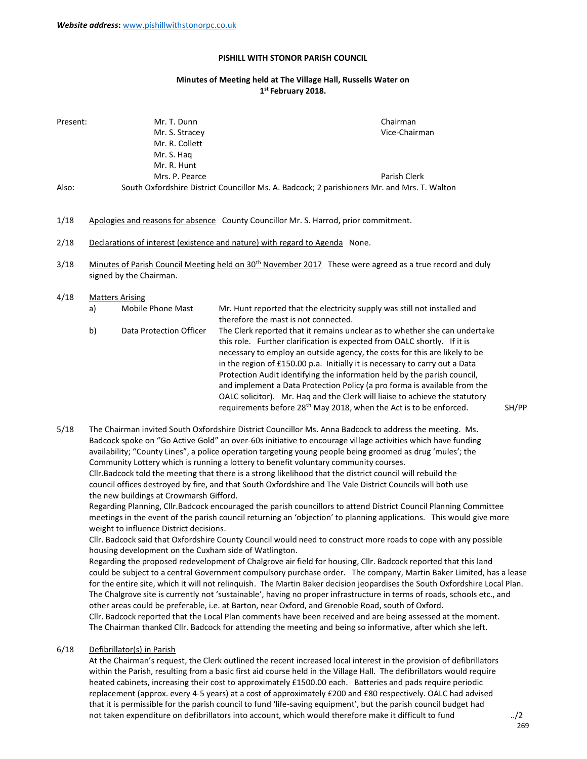#### PISHILL WITH STONOR PARISH COUNCIL

# Minutes of Meeting held at The Village Hall, Russells Water on 1<sup>st</sup> February 2018.

| Present: | Mr. T. Dunn                                                                                 | Chairman      |
|----------|---------------------------------------------------------------------------------------------|---------------|
|          | Mr. S. Stracey                                                                              | Vice-Chairman |
|          | Mr. R. Collett                                                                              |               |
|          | Mr. S. Hag                                                                                  |               |
|          | Mr. R. Hunt                                                                                 |               |
|          | Mrs. P. Pearce                                                                              | Parish Clerk  |
| Also:    | South Oxfordshire District Councillor Ms. A. Badcock; 2 parishioners Mr. and Mrs. T. Walton |               |

- 1/18 Apologies and reasons for absence County Councillor Mr. S. Harrod, prior commitment.
- 2/18 Declarations of interest (existence and nature) with regard to Agenda None.
- 3/18 Minutes of Parish Council Meeting held on 30<sup>th</sup> November 2017 These were agreed as a true record and duly signed by the Chairman.
- 4/18 Matters Arising
	- a) Mobile Phone Mast Mr. Hunt reported that the electricity supply was still not installed and therefore the mast is not connected.
	- b) Data Protection Officer The Clerk reported that it remains unclear as to whether she can undertake this role. Further clarification is expected from OALC shortly. If it is necessary to employ an outside agency, the costs for this are likely to be in the region of £150.00 p.a. Initially it is necessary to carry out a Data Protection Audit identifying the information held by the parish council, and implement a Data Protection Policy (a pro forma is available from the OALC solicitor). Mr. Haq and the Clerk will liaise to achieve the statutory requirements before 28<sup>th</sup> May 2018, when the Act is to be enforced. SH/PP

5/18 The Chairman invited South Oxfordshire District Councillor Ms. Anna Badcock to address the meeting. Ms. Badcock spoke on "Go Active Gold" an over-60s initiative to encourage village activities which have funding availability; "County Lines", a police operation targeting young people being groomed as drug 'mules'; the Community Lottery which is running a lottery to benefit voluntary community courses. Cllr.Badcock told the meeting that there is a strong likelihood that the district council will rebuild the council offices destroyed by fire, and that South Oxfordshire and The Vale District Councils will both use the new buildings at Crowmarsh Gifford.

 Regarding Planning, Cllr.Badcock encouraged the parish councillors to attend District Council Planning Committee meetings in the event of the parish council returning an 'objection' to planning applications. This would give more weight to influence District decisions.

 Cllr. Badcock said that Oxfordshire County Council would need to construct more roads to cope with any possible housing development on the Cuxham side of Watlington.

 Regarding the proposed redevelopment of Chalgrove air field for housing, Cllr. Badcock reported that this land could be subject to a central Government compulsory purchase order. The company, Martin Baker Limited, has a lease for the entire site, which it will not relinquish. The Martin Baker decision jeopardises the South Oxfordshire Local Plan. The Chalgrove site is currently not 'sustainable', having no proper infrastructure in terms of roads, schools etc., and other areas could be preferable, i.e. at Barton, near Oxford, and Grenoble Road, south of Oxford. Cllr. Badcock reported that the Local Plan comments have been received and are being assessed at the moment. The Chairman thanked Cllr. Badcock for attending the meeting and being so informative, after which she left.

# 6/18 Defibrillator(s) in Parish

 At the Chairman's request, the Clerk outlined the recent increased local interest in the provision of defibrillators within the Parish, resulting from a basic first aid course held in the Village Hall. The defibrillators would require heated cabinets, increasing their cost to approximately £1500.00 each. Batteries and pads require periodic replacement (approx. every 4-5 years) at a cost of approximately £200 and £80 respectively. OALC had advised that it is permissible for the parish council to fund 'life-saving equipment', but the parish council budget had not taken expenditure on defibrillators into account, which would therefore make it difficult to fund ../2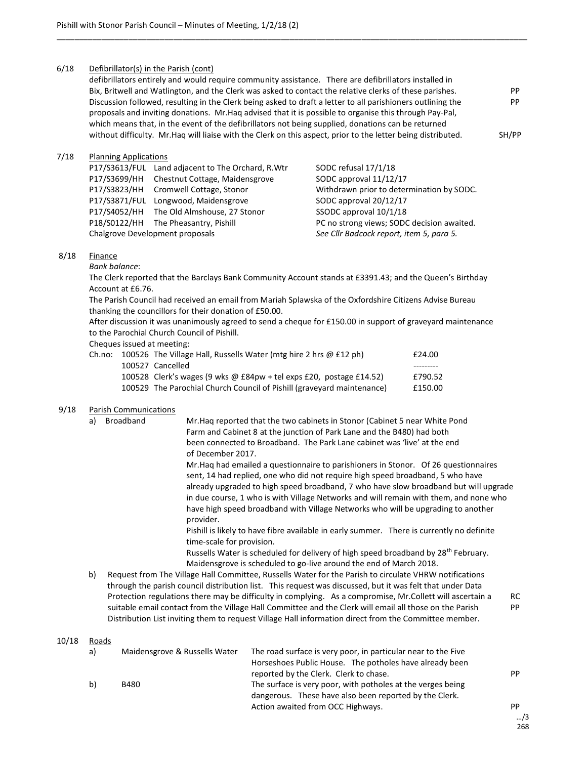## 6/18 Defibrillator(s) in the Parish (cont)

| defibrillators entirely and would require community assistance. There are defibrillators installed in         |       |
|---------------------------------------------------------------------------------------------------------------|-------|
| Bix, Britwell and Watlington, and the Clerk was asked to contact the relative clerks of these parishes.       | PP.   |
| Discussion followed, resulting in the Clerk being asked to draft a letter to all parishioners outlining the   | PP.   |
| proposals and inviting donations. Mr. Haq advised that it is possible to organise this through Pay-Pal,       |       |
| which means that, in the event of the defibrillators not being supplied, donations can be returned            |       |
| without difficulty. Mr. Hag will liaise with the Clerk on this aspect, prior to the letter being distributed. | SH/PP |
|                                                                                                               |       |

\_\_\_\_\_\_\_\_\_\_\_\_\_\_\_\_\_\_\_\_\_\_\_\_\_\_\_\_\_\_\_\_\_\_\_\_\_\_\_\_\_\_\_\_\_\_\_\_\_\_\_\_\_\_\_\_\_\_\_\_\_\_\_\_\_\_\_\_\_\_\_\_\_\_\_\_\_\_\_\_\_\_\_\_\_\_\_\_\_\_\_\_\_\_\_\_\_\_\_\_\_\_\_\_\_

#### 7/18 Planning Applications

|                                 | P17/S3613/FUL Land adjacent to The Orchard, R.Wtr | SODC refusal 17/1/18                       |
|---------------------------------|---------------------------------------------------|--------------------------------------------|
|                                 | P17/S3699/HH Chestnut Cottage, Maidensgrove       | SODC approval 11/12/17                     |
|                                 | P17/S3823/HH Cromwell Cottage, Stonor             | Withdrawn prior to determination by SODC.  |
|                                 | P17/S3871/FUL Longwood, Maidensgrove              | SODC approval 20/12/17                     |
|                                 | P17/S4052/HH The Old Almshouse, 27 Stonor         | SSODC approval 10/1/18                     |
|                                 | P18/S0122/HH The Pheasantry, Pishill              | PC no strong views; SODC decision awaited. |
| Chalgrove Development proposals |                                                   | See Cllr Badcock report, item 5, para 5.   |
|                                 |                                                   |                                            |

## 8/18 Finance

Bank balance:

 The Clerk reported that the Barclays Bank Community Account stands at £3391.43; and the Queen's Birthday Account at £6.76.

 The Parish Council had received an email from Mariah Splawska of the Oxfordshire Citizens Advise Bureau thanking the councillors for their donation of £50.00.

 After discussion it was unanimously agreed to send a cheque for £150.00 in support of graveyard maintenance to the Parochial Church Council of Pishill.

Cheques issued at meeting:

|  | Ch.no: 100526 The Village Hall, Russells Water (mtg hire 2 hrs $\omega$ £12 ph) | £24.00  |
|--|---------------------------------------------------------------------------------|---------|
|  | 100527 Cancelled                                                                |         |
|  | 100528 Clerk's wages (9 wks @ £84pw + tel exps £20, postage £14.52)             | £790.52 |
|  | 100529 The Parochial Church Council of Pishill (graveyard maintenance)          | £150.00 |

### 9/18 Parish Communications

a) Broadband Mr.Haq reported that the two cabinets in Stonor (Cabinet 5 near White Pond Farm and Cabinet 8 at the junction of Park Lane and the B480) had both been connected to Broadband. The Park Lane cabinet was 'live' at the end of December 2017.

> Mr.Haq had emailed a questionnaire to parishioners in Stonor. Of 26 questionnaires sent, 14 had replied, one who did not require high speed broadband, 5 who have already upgraded to high speed broadband, 7 who have slow broadband but will upgrade in due course, 1 who is with Village Networks and will remain with them, and none who have high speed broadband with Village Networks who will be upgrading to another provider.

 Pishill is likely to have fibre available in early summer. There is currently no definite time-scale for provision.

Russells Water is scheduled for delivery of high speed broadband by 28<sup>th</sup> February. Maidensgrove is scheduled to go-live around the end of March 2018.

b) Request from The Village Hall Committee, Russells Water for the Parish to circulate VHRW notifications through the parish council distribution list. This request was discussed, but it was felt that under Data Protection regulations there may be difficulty in complying. As a compromise, Mr.Collett will ascertain a RC suitable email contact from the Village Hall Committee and the Clerk will email all those on the Parish PP Distribution List inviting them to request Village Hall information direct from the Committee member.

## 10/18 Roads

| a) | Maidensgrove & Russells Water | The road surface is very poor, in particular near to the Five<br>Horseshoes Public House. The potholes have already been |     |
|----|-------------------------------|--------------------------------------------------------------------------------------------------------------------------|-----|
| b) | B480                          | reported by the Clerk. Clerk to chase.<br>The surface is very poor, with potholes at the verges being                    | PP. |
|    |                               | dangerous. These have also been reported by the Clerk.<br>Action awaited from OCC Highways.                              | PP. |
|    |                               |                                                                                                                          |     |